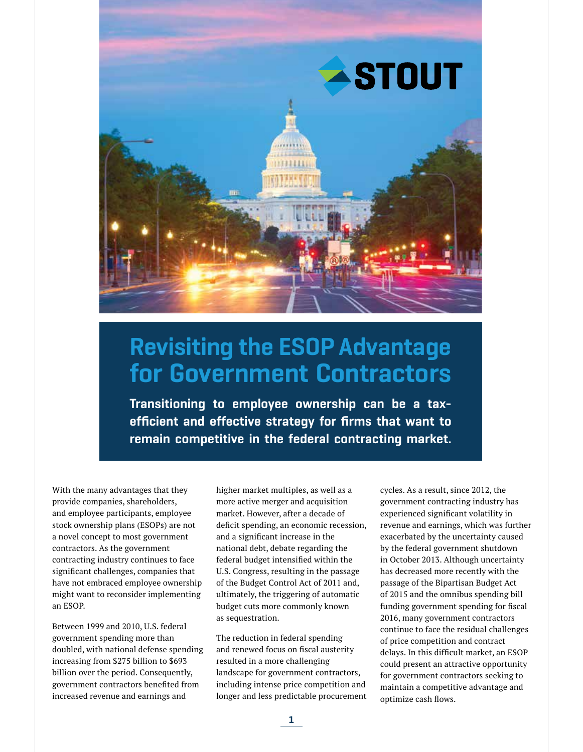

# Revisiting the ESOP Advantage for Government Contractors

Transitioning to employee ownership can be a taxefficient and effective strategy for firms that want to remain competitive in the federal contracting market.

With the many advantages that they provide companies, shareholders, and employee participants, employee stock ownership plans (ESOPs) are not a novel concept to most government contractors. As the government contracting industry continues to face significant challenges, companies that have not embraced employee ownership might want to reconsider implementing an ESOP.

Between 1999 and 2010, U.S. federal government spending more than doubled, with national defense spending increasing from \$275 billion to \$693 billion over the period. Consequently, government contractors benefited from increased revenue and earnings and

higher market multiples, as well as a more active merger and acquisition market. However, after a decade of deficit spending, an economic recession, and a significant increase in the national debt, debate regarding the federal budget intensified within the U.S. Congress, resulting in the passage of the Budget Control Act of 2011 and, ultimately, the triggering of automatic budget cuts more commonly known as sequestration.

The reduction in federal spending and renewed focus on fiscal austerity resulted in a more challenging landscape for government contractors, including intense price competition and longer and less predictable procurement cycles. As a result, since 2012, the government contracting industry has experienced significant volatility in revenue and earnings, which was further exacerbated by the uncertainty caused by the federal government shutdown in October 2013. Although uncertainty has decreased more recently with the passage of the Bipartisan Budget Act of 2015 and the omnibus spending bill funding government spending for fiscal 2016, many government contractors continue to face the residual challenges of price competition and contract delays. In this difficult market, an ESOP could present an attractive opportunity for government contractors seeking to maintain a competitive advantage and optimize cash flows.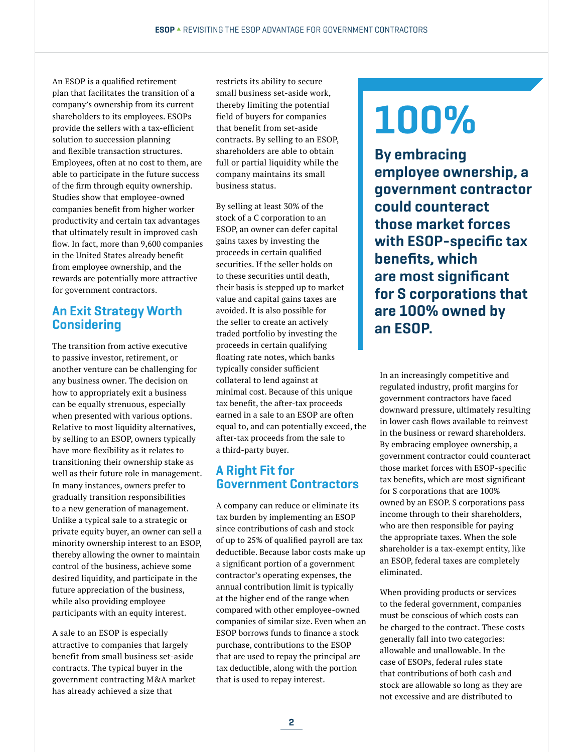An ESOP is a qualified retirement plan that facilitates the transition of a company's ownership from its current shareholders to its employees. ESOPs provide the sellers with a tax-efficient solution to succession planning and flexible transaction structures. Employees, often at no cost to them, are able to participate in the future success of the firm through equity ownership. Studies show that employee-owned companies benefit from higher worker productivity and certain tax advantages that ultimately result in improved cash flow. In fact, more than 9,600 companies in the United States already benefit from employee ownership, and the rewards are potentially more attractive for government contractors.

## An Exit Strategy Worth **Considering**

The transition from active executive to passive investor, retirement, or another venture can be challenging for any business owner. The decision on how to appropriately exit a business can be equally strenuous, especially when presented with various options. Relative to most liquidity alternatives, by selling to an ESOP, owners typically have more flexibility as it relates to transitioning their ownership stake as well as their future role in management. In many instances, owners prefer to gradually transition responsibilities to a new generation of management. Unlike a typical sale to a strategic or private equity buyer, an owner can sell a minority ownership interest to an ESOP, thereby allowing the owner to maintain control of the business, achieve some desired liquidity, and participate in the future appreciation of the business, while also providing employee participants with an equity interest.

A sale to an ESOP is especially attractive to companies that largely benefit from small business set-aside contracts. The typical buyer in the government contracting M&A market has already achieved a size that

restricts its ability to secure small business set-aside work, thereby limiting the potential field of buyers for companies that benefit from set-aside contracts. By selling to an ESOP, shareholders are able to obtain full or partial liquidity while the company maintains its small business status.

By selling at least 30% of the stock of a C corporation to an ESOP, an owner can defer capital gains taxes by investing the proceeds in certain qualified securities. If the seller holds on to these securities until death, their basis is stepped up to market value and capital gains taxes are avoided. It is also possible for the seller to create an actively traded portfolio by investing the proceeds in certain qualifying floating rate notes, which banks typically consider sufficient collateral to lend against at minimal cost. Because of this unique tax benefit, the after-tax proceeds earned in a sale to an ESOP are often equal to, and can potentially exceed, the after-tax proceeds from the sale to a third-party buyer.

### A Right Fit for Government Contractors

A company can reduce or eliminate its tax burden by implementing an ESOP since contributions of cash and stock of up to 25% of qualified payroll are tax deductible. Because labor costs make up a significant portion of a government contractor's operating expenses, the annual contribution limit is typically at the higher end of the range when compared with other employee-owned companies of similar size. Even when an ESOP borrows funds to finance a stock purchase, contributions to the ESOP that are used to repay the principal are tax deductible, along with the portion that is used to repay interest.

# 100%

By embracing employee ownership, a government contractor could counteract those market forces with ESOP-specific tax benefits, which are most significant for S corporations that are 100% owned by an ESOP.

In an increasingly competitive and regulated industry, profit margins for government contractors have faced downward pressure, ultimately resulting in lower cash flows available to reinvest in the business or reward shareholders. By embracing employee ownership, a government contractor could counteract those market forces with ESOP-specific tax benefits, which are most significant for S corporations that are 100% owned by an ESOP. S corporations pass income through to their shareholders, who are then responsible for paying the appropriate taxes. When the sole shareholder is a tax-exempt entity, like an ESOP, federal taxes are completely eliminated.

When providing products or services to the federal government, companies must be conscious of which costs can be charged to the contract. These costs generally fall into two categories: allowable and unallowable. In the case of ESOPs, federal rules state that contributions of both cash and stock are allowable so long as they are not excessive and are distributed to

2